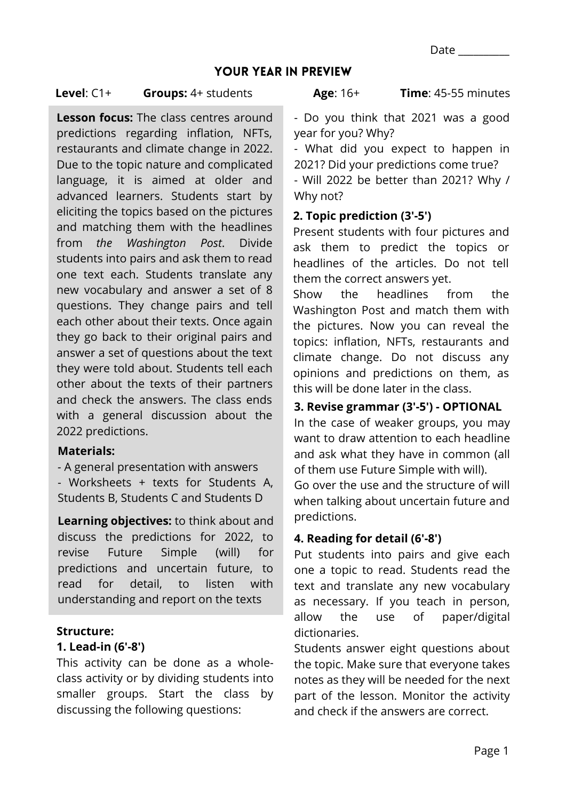#### YOUR YEAR IN PREVIEW

#### **Level**: C1+ **Groups:** 4+ students

**Lesson focus:** The class centres around predictions regarding inflation, NFTs, restaurants and climate change in 2022. Due to the topic nature and complicated language, it is aimed at older and advanced learners. Students start by eliciting the topics based on the pictures and matching them with the headlines from *the Washington Post*. Divide students into pairs and ask them to read one text each. Students translate any new vocabulary and answer a set of 8 questions. They change pairs and tell each other about their texts. Once again they go back to their original pairs and answer a set of questions about the text they were told about. Students tell each other about the texts of their partners and check the answers. The class ends with a general discussion about the 2022 predictions.

#### **Materials:**

*-* A general presentation with answers - Worksheets + texts for Students A, Students B, Students C and Students D

**Learning objectives:** to think about and discuss the predictions for 2022, to revise Future Simple (will) for predictions and uncertain future, to read for detail, to listen with understanding and report on the texts

#### **Structure:**

#### **1. Lead-in (6'-8')**

This activity can be done as a wholeclass activity or by dividing students into smaller groups. Start the class by discussing the following questions:

**Time**: 45-55 minutes

- Do you think that 2021 was a good year for you? Why?

- What did you expect to happen in 2021? Did your predictions come true?

- Will 2022 be better than 2021? Why / Why not?

#### **2. Topic prediction (3'-5')**

Present students with four pictures and ask them to predict the topics or headlines of the articles. Do not tell them the correct answers yet.

Show the headlines from the Washington Post and match them with the pictures. Now you can reveal the topics: inflation, NFTs, restaurants and climate change. Do not discuss any opinions and predictions on them, as this will be done later in the class.

## **3. Revise grammar (3'-5') - OPTIONAL**

In the case of weaker groups, you may want to draw attention to each headline and ask what they have in common (all of them use Future Simple with will).

Go over the use and the structure of will when talking about uncertain future and predictions.

## **4. Reading for detail (6'-8')**

Put students into pairs and give each one a topic to read. Students read the text and translate any new vocabulary as necessary. If you teach in person, allow the use of paper/digital dictionaries.

Students answer eight questions about the topic. Make sure that everyone takes notes as they will be needed for the next part of the lesson. Monitor the activity and check if the answers are correct.